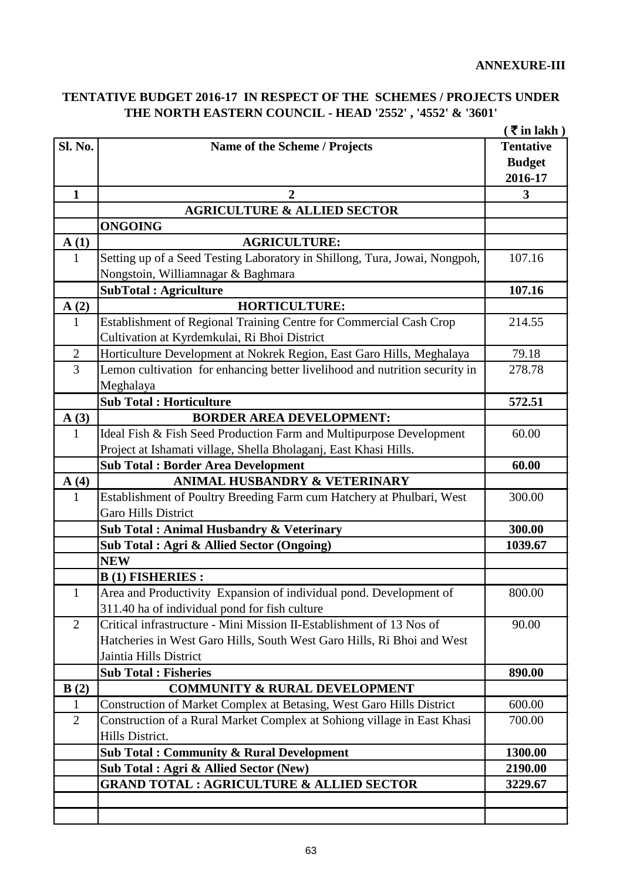## **TENTATIVE BUDGET 2016-17 IN RESPECT OF THE SCHEMES / PROJECTS UNDER THE NORTH EASTERN COUNCIL - HEAD '2552' , '4552' & '3601'**

|                |                                                                             | $(\bar{\bar{\mathbf{x}}}$ in lakh) |
|----------------|-----------------------------------------------------------------------------|------------------------------------|
| Sl. No.        | Name of the Scheme / Projects                                               | <b>Tentative</b>                   |
|                |                                                                             | <b>Budget</b>                      |
|                |                                                                             | 2016-17                            |
| $\mathbf{1}$   | $\overline{2}$                                                              | $\mathbf{3}$                       |
|                | <b>AGRICULTURE &amp; ALLIED SECTOR</b>                                      |                                    |
|                | <b>ONGOING</b>                                                              |                                    |
| A(1)           | <b>AGRICULTURE:</b>                                                         |                                    |
| $\mathbf{1}$   | Setting up of a Seed Testing Laboratory in Shillong, Tura, Jowai, Nongpoh,  | 107.16                             |
|                | Nongstoin, Williamnagar & Baghmara                                          |                                    |
|                | <b>SubTotal: Agriculture</b>                                                | 107.16                             |
| A(2)           | <b>HORTICULTURE:</b>                                                        |                                    |
| $\mathbf{1}$   | Establishment of Regional Training Centre for Commercial Cash Crop          | 214.55                             |
|                | Cultivation at Kyrdemkulai, Ri Bhoi District                                |                                    |
| $\overline{2}$ | Horticulture Development at Nokrek Region, East Garo Hills, Meghalaya       | 79.18                              |
| $\overline{3}$ | Lemon cultivation for enhancing better livelihood and nutrition security in | 278.78                             |
|                | Meghalaya                                                                   |                                    |
|                | <b>Sub Total: Horticulture</b>                                              | 572.51                             |
| A(3)           | <b>BORDER AREA DEVELOPMENT:</b>                                             |                                    |
| $\mathbf{1}$   | Ideal Fish & Fish Seed Production Farm and Multipurpose Development         | 60.00                              |
|                | Project at Ishamati village, Shella Bholaganj, East Khasi Hills.            |                                    |
|                | <b>Sub Total: Border Area Development</b>                                   | 60.00                              |
| A(4)           | ANIMAL HUSBANDRY & VETERINARY                                               |                                    |
| $\mathbf{1}$   | Establishment of Poultry Breeding Farm cum Hatchery at Phulbari, West       | 300.00                             |
|                | <b>Garo Hills District</b>                                                  |                                    |
|                | Sub Total: Animal Husbandry & Veterinary                                    | 300.00                             |
|                | Sub Total: Agri & Allied Sector (Ongoing)                                   | 1039.67                            |
|                | <b>NEW</b>                                                                  |                                    |
|                | <b>B</b> (1) FISHERIES:                                                     |                                    |
| $\mathbf{1}$   | Area and Productivity Expansion of individual pond. Development of          | 800.00                             |
|                | 311.40 ha of individual pond for fish culture                               |                                    |
| $\overline{2}$ | Critical infrastructure - Mini Mission II-Establishment of 13 Nos of        | 90.00                              |
|                | Hatcheries in West Garo Hills, South West Garo Hills, Ri Bhoi and West      |                                    |
|                | Jaintia Hills District                                                      |                                    |
|                | <b>Sub Total: Fisheries</b>                                                 | 890.00                             |
| B(2)           | <b>COMMUNITY &amp; RURAL DEVELOPMENT</b>                                    |                                    |
| 1              | Construction of Market Complex at Betasing, West Garo Hills District        | 600.00                             |
| $\overline{2}$ | Construction of a Rural Market Complex at Sohiong village in East Khasi     | 700.00                             |
|                | Hills District.                                                             |                                    |
|                | <b>Sub Total: Community &amp; Rural Development</b>                         | 1300.00                            |
|                | Sub Total: Agri & Allied Sector (New)                                       | 2190.00                            |
|                |                                                                             |                                    |
|                | <b>GRAND TOTAL : AGRICULTURE &amp; ALLIED SECTOR</b>                        | 3229.67                            |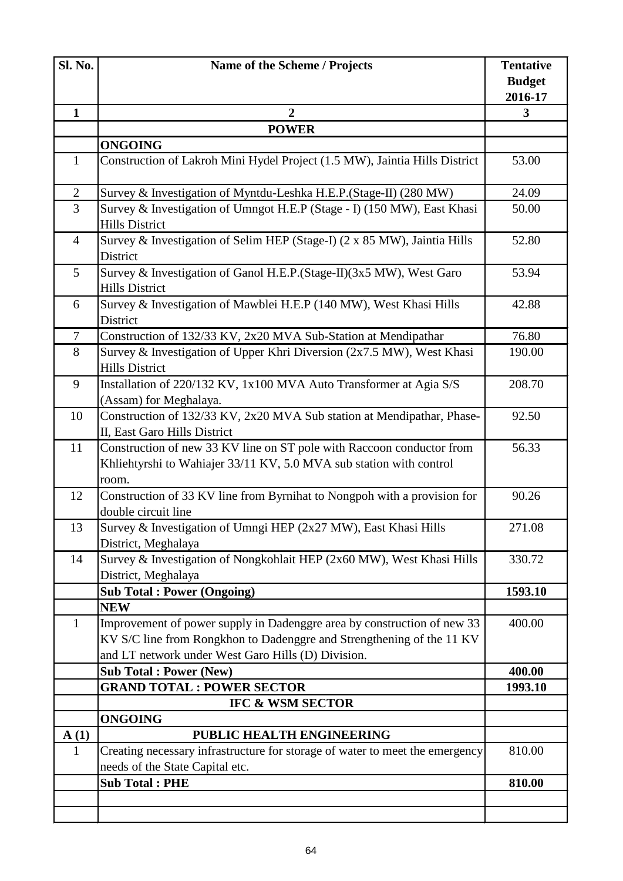| $\mathbf{1}$<br>$\mathbf{1}$<br>$\mathbf{2}$<br>3<br>$\overline{4}$<br>5<br>6<br>$\overline{7}$<br>8<br>9<br>10<br>11<br>12<br>13 | $\overline{2}$<br><b>POWER</b><br><b>ONGOING</b><br>Construction of Lakroh Mini Hydel Project (1.5 MW), Jaintia Hills District<br>Survey & Investigation of Myntdu-Leshka H.E.P. (Stage-II) (280 MW)<br>Survey & Investigation of Umngot H.E.P (Stage - I) (150 MW), East Khasi<br><b>Hills District</b><br>Survey & Investigation of Selim HEP (Stage-I) (2 x 85 MW), Jaintia Hills<br>District<br>Survey & Investigation of Ganol H.E.P.(Stage-II)(3x5 MW), West Garo<br><b>Hills District</b><br>Survey & Investigation of Mawblei H.E.P (140 MW), West Khasi Hills<br>District<br>Construction of 132/33 KV, 2x20 MVA Sub-Station at Mendipathar<br>Survey & Investigation of Upper Khri Diversion (2x7.5 MW), West Khasi<br><b>Hills District</b><br>Installation of 220/132 KV, 1x100 MVA Auto Transformer at Agia S/S<br>(Assam) for Meghalaya. | <b>Budget</b><br>2016-17<br>3<br>53.00<br>24.09<br>50.00<br>52.80<br>53.94<br>42.88<br>76.80<br>190.00 |
|-----------------------------------------------------------------------------------------------------------------------------------|--------------------------------------------------------------------------------------------------------------------------------------------------------------------------------------------------------------------------------------------------------------------------------------------------------------------------------------------------------------------------------------------------------------------------------------------------------------------------------------------------------------------------------------------------------------------------------------------------------------------------------------------------------------------------------------------------------------------------------------------------------------------------------------------------------------------------------------------------------|--------------------------------------------------------------------------------------------------------|
|                                                                                                                                   |                                                                                                                                                                                                                                                                                                                                                                                                                                                                                                                                                                                                                                                                                                                                                                                                                                                        |                                                                                                        |
|                                                                                                                                   |                                                                                                                                                                                                                                                                                                                                                                                                                                                                                                                                                                                                                                                                                                                                                                                                                                                        |                                                                                                        |
|                                                                                                                                   |                                                                                                                                                                                                                                                                                                                                                                                                                                                                                                                                                                                                                                                                                                                                                                                                                                                        |                                                                                                        |
|                                                                                                                                   |                                                                                                                                                                                                                                                                                                                                                                                                                                                                                                                                                                                                                                                                                                                                                                                                                                                        |                                                                                                        |
|                                                                                                                                   |                                                                                                                                                                                                                                                                                                                                                                                                                                                                                                                                                                                                                                                                                                                                                                                                                                                        |                                                                                                        |
|                                                                                                                                   |                                                                                                                                                                                                                                                                                                                                                                                                                                                                                                                                                                                                                                                                                                                                                                                                                                                        |                                                                                                        |
|                                                                                                                                   |                                                                                                                                                                                                                                                                                                                                                                                                                                                                                                                                                                                                                                                                                                                                                                                                                                                        |                                                                                                        |
|                                                                                                                                   |                                                                                                                                                                                                                                                                                                                                                                                                                                                                                                                                                                                                                                                                                                                                                                                                                                                        |                                                                                                        |
|                                                                                                                                   |                                                                                                                                                                                                                                                                                                                                                                                                                                                                                                                                                                                                                                                                                                                                                                                                                                                        |                                                                                                        |
|                                                                                                                                   |                                                                                                                                                                                                                                                                                                                                                                                                                                                                                                                                                                                                                                                                                                                                                                                                                                                        |                                                                                                        |
|                                                                                                                                   |                                                                                                                                                                                                                                                                                                                                                                                                                                                                                                                                                                                                                                                                                                                                                                                                                                                        |                                                                                                        |
|                                                                                                                                   |                                                                                                                                                                                                                                                                                                                                                                                                                                                                                                                                                                                                                                                                                                                                                                                                                                                        |                                                                                                        |
|                                                                                                                                   |                                                                                                                                                                                                                                                                                                                                                                                                                                                                                                                                                                                                                                                                                                                                                                                                                                                        | 208.70                                                                                                 |
|                                                                                                                                   | Construction of 132/33 KV, 2x20 MVA Sub station at Mendipathar, Phase-<br>II, East Garo Hills District                                                                                                                                                                                                                                                                                                                                                                                                                                                                                                                                                                                                                                                                                                                                                 | 92.50                                                                                                  |
|                                                                                                                                   | Construction of new 33 KV line on ST pole with Raccoon conductor from<br>Khliehtyrshi to Wahiajer 33/11 KV, 5.0 MVA sub station with control<br>room.                                                                                                                                                                                                                                                                                                                                                                                                                                                                                                                                                                                                                                                                                                  | 56.33                                                                                                  |
|                                                                                                                                   | Construction of 33 KV line from Byrnihat to Nongpoh with a provision for<br>double circuit line                                                                                                                                                                                                                                                                                                                                                                                                                                                                                                                                                                                                                                                                                                                                                        | 90.26                                                                                                  |
|                                                                                                                                   | Survey & Investigation of Umngi HEP (2x27 MW), East Khasi Hills<br>District, Meghalaya                                                                                                                                                                                                                                                                                                                                                                                                                                                                                                                                                                                                                                                                                                                                                                 | 271.08                                                                                                 |
| 14                                                                                                                                | Survey & Investigation of Nongkohlait HEP (2x60 MW), West Khasi Hills<br>District, Meghalaya                                                                                                                                                                                                                                                                                                                                                                                                                                                                                                                                                                                                                                                                                                                                                           | 330.72                                                                                                 |
|                                                                                                                                   | <b>Sub Total: Power (Ongoing)</b>                                                                                                                                                                                                                                                                                                                                                                                                                                                                                                                                                                                                                                                                                                                                                                                                                      | 1593.10                                                                                                |
|                                                                                                                                   | <b>NEW</b>                                                                                                                                                                                                                                                                                                                                                                                                                                                                                                                                                                                                                                                                                                                                                                                                                                             |                                                                                                        |
| $\mathbf{1}$                                                                                                                      | Improvement of power supply in Dadenggre area by construction of new 33<br>KV S/C line from Rongkhon to Dadenggre and Strengthening of the 11 KV<br>and LT network under West Garo Hills (D) Division.                                                                                                                                                                                                                                                                                                                                                                                                                                                                                                                                                                                                                                                 | 400.00                                                                                                 |
|                                                                                                                                   | <b>Sub Total: Power (New)</b>                                                                                                                                                                                                                                                                                                                                                                                                                                                                                                                                                                                                                                                                                                                                                                                                                          | 400.00                                                                                                 |
|                                                                                                                                   | <b>GRAND TOTAL : POWER SECTOR</b>                                                                                                                                                                                                                                                                                                                                                                                                                                                                                                                                                                                                                                                                                                                                                                                                                      | 1993.10                                                                                                |
|                                                                                                                                   | <b>IFC &amp; WSM SECTOR</b>                                                                                                                                                                                                                                                                                                                                                                                                                                                                                                                                                                                                                                                                                                                                                                                                                            |                                                                                                        |
|                                                                                                                                   | <b>ONGOING</b>                                                                                                                                                                                                                                                                                                                                                                                                                                                                                                                                                                                                                                                                                                                                                                                                                                         |                                                                                                        |
| A(1)                                                                                                                              | PUBLIC HEALTH ENGINEERING                                                                                                                                                                                                                                                                                                                                                                                                                                                                                                                                                                                                                                                                                                                                                                                                                              |                                                                                                        |
| $\mathbf{1}$                                                                                                                      | Creating necessary infrastructure for storage of water to meet the emergency                                                                                                                                                                                                                                                                                                                                                                                                                                                                                                                                                                                                                                                                                                                                                                           | 810.00                                                                                                 |
| <b>Sub Total: PHE</b>                                                                                                             | needs of the State Capital etc.                                                                                                                                                                                                                                                                                                                                                                                                                                                                                                                                                                                                                                                                                                                                                                                                                        | 810.00                                                                                                 |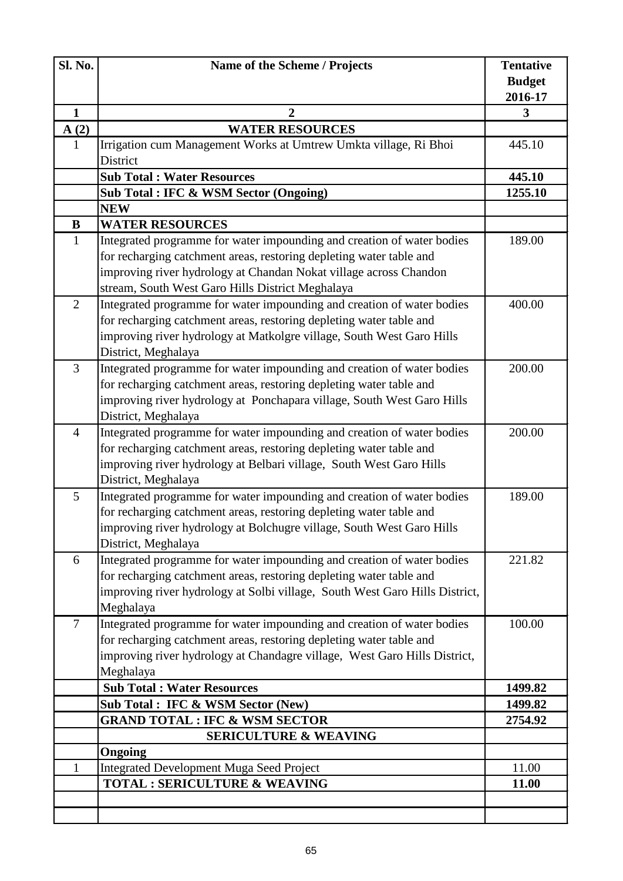| Sl. No.        | Name of the Scheme / Projects                                                                                                                                                                                                                                                                                                                                       | <b>Tentative</b>                     |
|----------------|---------------------------------------------------------------------------------------------------------------------------------------------------------------------------------------------------------------------------------------------------------------------------------------------------------------------------------------------------------------------|--------------------------------------|
|                |                                                                                                                                                                                                                                                                                                                                                                     | <b>Budget</b>                        |
|                |                                                                                                                                                                                                                                                                                                                                                                     | 2016-17                              |
| 1              | $\overline{2}$                                                                                                                                                                                                                                                                                                                                                      | 3                                    |
| A(2)<br>1      | <b>WATER RESOURCES</b><br>Irrigation cum Management Works at Umtrew Umkta village, Ri Bhoi                                                                                                                                                                                                                                                                          | 445.10                               |
|                | District                                                                                                                                                                                                                                                                                                                                                            |                                      |
|                | <b>Sub Total: Water Resources</b>                                                                                                                                                                                                                                                                                                                                   | 445.10                               |
|                | Sub Total : IFC & WSM Sector (Ongoing)                                                                                                                                                                                                                                                                                                                              | 1255.10                              |
|                | <b>NEW</b>                                                                                                                                                                                                                                                                                                                                                          |                                      |
| $\bf{B}$       | <b>WATER RESOURCES</b>                                                                                                                                                                                                                                                                                                                                              |                                      |
| $\mathbf{1}$   | Integrated programme for water impounding and creation of water bodies                                                                                                                                                                                                                                                                                              | 189.00                               |
|                | for recharging catchment areas, restoring depleting water table and                                                                                                                                                                                                                                                                                                 |                                      |
|                | improving river hydrology at Chandan Nokat village across Chandon                                                                                                                                                                                                                                                                                                   |                                      |
|                | stream, South West Garo Hills District Meghalaya                                                                                                                                                                                                                                                                                                                    |                                      |
| $\overline{2}$ | Integrated programme for water impounding and creation of water bodies                                                                                                                                                                                                                                                                                              | 400.00                               |
|                | for recharging catchment areas, restoring depleting water table and                                                                                                                                                                                                                                                                                                 |                                      |
|                | improving river hydrology at Matkolgre village, South West Garo Hills                                                                                                                                                                                                                                                                                               |                                      |
|                | District, Meghalaya                                                                                                                                                                                                                                                                                                                                                 |                                      |
| $\overline{3}$ | Integrated programme for water impounding and creation of water bodies                                                                                                                                                                                                                                                                                              | 200.00                               |
|                | for recharging catchment areas, restoring depleting water table and                                                                                                                                                                                                                                                                                                 |                                      |
|                | improving river hydrology at Ponchapara village, South West Garo Hills                                                                                                                                                                                                                                                                                              |                                      |
|                | District, Meghalaya                                                                                                                                                                                                                                                                                                                                                 |                                      |
| $\overline{4}$ | Integrated programme for water impounding and creation of water bodies<br>for recharging catchment areas, restoring depleting water table and                                                                                                                                                                                                                       | 200.00                               |
|                | improving river hydrology at Belbari village, South West Garo Hills                                                                                                                                                                                                                                                                                                 |                                      |
|                | District, Meghalaya                                                                                                                                                                                                                                                                                                                                                 |                                      |
| 5              | Integrated programme for water impounding and creation of water bodies                                                                                                                                                                                                                                                                                              | 189.00                               |
|                | for recharging catchment areas, restoring depleting water table and                                                                                                                                                                                                                                                                                                 |                                      |
|                | improving river hydrology at Bolchugre village, South West Garo Hills                                                                                                                                                                                                                                                                                               |                                      |
|                | District, Meghalaya                                                                                                                                                                                                                                                                                                                                                 |                                      |
| 6              |                                                                                                                                                                                                                                                                                                                                                                     | 221.82                               |
|                | for recharging catchment areas, restoring depleting water table and                                                                                                                                                                                                                                                                                                 |                                      |
|                | improving river hydrology at Solbi village, South West Garo Hills District,                                                                                                                                                                                                                                                                                         |                                      |
|                | Meghalaya                                                                                                                                                                                                                                                                                                                                                           |                                      |
| $\overline{7}$ | Integrated programme for water impounding and creation of water bodies                                                                                                                                                                                                                                                                                              | 100.00                               |
|                | for recharging catchment areas, restoring depleting water table and                                                                                                                                                                                                                                                                                                 |                                      |
|                | improving river hydrology at Chandagre village, West Garo Hills District,                                                                                                                                                                                                                                                                                           |                                      |
|                |                                                                                                                                                                                                                                                                                                                                                                     |                                      |
|                |                                                                                                                                                                                                                                                                                                                                                                     | 1499.82                              |
|                |                                                                                                                                                                                                                                                                                                                                                                     |                                      |
|                |                                                                                                                                                                                                                                                                                                                                                                     |                                      |
|                |                                                                                                                                                                                                                                                                                                                                                                     |                                      |
|                |                                                                                                                                                                                                                                                                                                                                                                     |                                      |
|                |                                                                                                                                                                                                                                                                                                                                                                     |                                      |
|                |                                                                                                                                                                                                                                                                                                                                                                     |                                      |
|                |                                                                                                                                                                                                                                                                                                                                                                     |                                      |
| 1              | Integrated programme for water impounding and creation of water bodies<br>Meghalaya<br><b>Sub Total: Water Resources</b><br><b>Sub Total : IFC &amp; WSM Sector (New)</b><br><b>GRAND TOTAL : IFC &amp; WSM SECTOR</b><br><b>SERICULTURE &amp; WEAVING</b><br>Ongoing<br><b>Integrated Development Muga Seed Project</b><br><b>TOTAL: SERICULTURE &amp; WEAVING</b> | 1499.82<br>2754.92<br>11.00<br>11.00 |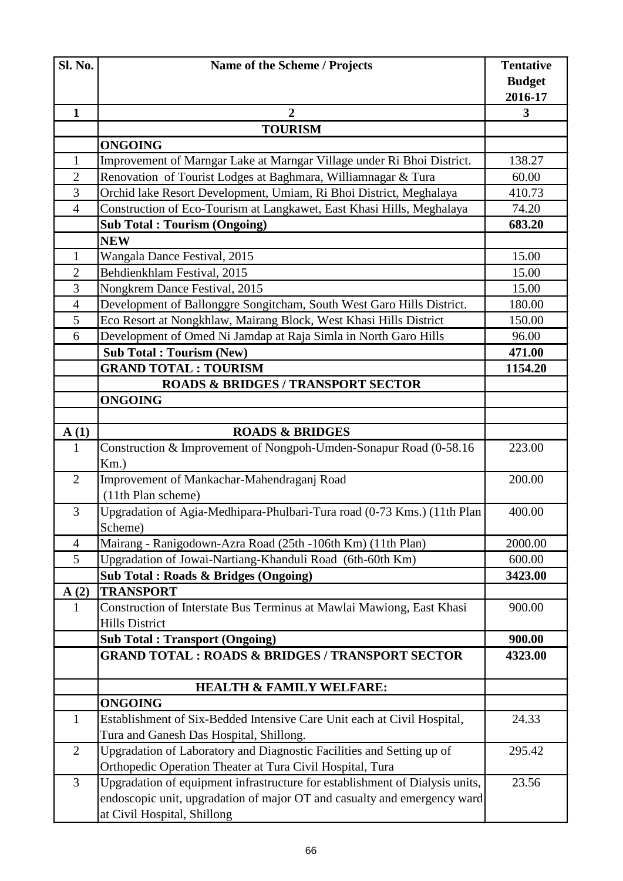| Sl. No.             | Name of the Scheme / Projects                                                                                                        | <b>Tentative</b>         |
|---------------------|--------------------------------------------------------------------------------------------------------------------------------------|--------------------------|
|                     |                                                                                                                                      | <b>Budget</b><br>2016-17 |
| $\mathbf{1}$        | $\overline{2}$                                                                                                                       | 3                        |
|                     | <b>TOURISM</b>                                                                                                                       |                          |
|                     | <b>ONGOING</b>                                                                                                                       |                          |
| $\mathbf{1}$        | Improvement of Marngar Lake at Marngar Village under Ri Bhoi District.                                                               | 138.27                   |
| $\overline{2}$      | Renovation of Tourist Lodges at Baghmara, Williamnagar & Tura                                                                        | 60.00                    |
| 3                   | Orchid lake Resort Development, Umiam, Ri Bhoi District, Meghalaya                                                                   | 410.73                   |
| $\overline{4}$      | Construction of Eco-Tourism at Langkawet, East Khasi Hills, Meghalaya                                                                | 74.20                    |
|                     | <b>Sub Total: Tourism (Ongoing)</b>                                                                                                  | 683.20                   |
|                     | <b>NEW</b>                                                                                                                           |                          |
| 1                   | Wangala Dance Festival, 2015                                                                                                         | 15.00                    |
| $\overline{2}$      | Behdienkhlam Festival, 2015                                                                                                          | 15.00                    |
| 3                   | Nongkrem Dance Festival, 2015                                                                                                        | 15.00                    |
| $\overline{4}$<br>5 | Development of Ballonggre Songitcham, South West Garo Hills District.                                                                | 180.00                   |
| 6                   | Eco Resort at Nongkhlaw, Mairang Block, West Khasi Hills District<br>Development of Omed Ni Jamdap at Raja Simla in North Garo Hills | 150.00<br>96.00          |
|                     | <b>Sub Total: Tourism (New)</b>                                                                                                      | 471.00                   |
|                     | <b>GRAND TOTAL: TOURISM</b>                                                                                                          | 1154.20                  |
|                     | <b>ROADS &amp; BRIDGES / TRANSPORT SECTOR</b>                                                                                        |                          |
|                     | <b>ONGOING</b>                                                                                                                       |                          |
|                     |                                                                                                                                      |                          |
| A(1)                | <b>ROADS &amp; BRIDGES</b>                                                                                                           |                          |
| $\mathbf{1}$        | Construction & Improvement of Nongpoh-Umden-Sonapur Road (0-58.16                                                                    | 223.00                   |
|                     | Km.)                                                                                                                                 |                          |
| $\overline{2}$      | Improvement of Mankachar-Mahendraganj Road                                                                                           | 200.00                   |
|                     | (11th Plan scheme)                                                                                                                   |                          |
| 3                   | Upgradation of Agia-Medhipara-Phulbari-Tura road (0-73 Kms.) (11th Plan                                                              | 400.00                   |
|                     | Scheme)                                                                                                                              |                          |
| $\overline{4}$      | Mairang - Ranigodown-Azra Road (25th -106th Km) (11th Plan)                                                                          | 2000.00                  |
| 5                   | Upgradation of Jowai-Nartiang-Khanduli Road (6th-60th Km)                                                                            | 600.00                   |
|                     | Sub Total: Roads & Bridges (Ongoing)                                                                                                 | 3423.00                  |
| A(2)                | <b>TRANSPORT</b>                                                                                                                     |                          |
| 1                   | Construction of Interstate Bus Terminus at Mawlai Mawiong, East Khasi                                                                | 900.00                   |
|                     | <b>Hills District</b>                                                                                                                |                          |
|                     | <b>Sub Total: Transport (Ongoing)</b>                                                                                                | 900.00                   |
|                     | <b>GRAND TOTAL : ROADS &amp; BRIDGES / TRANSPORT SECTOR</b>                                                                          | 4323.00                  |
|                     | <b>HEALTH &amp; FAMILY WELFARE:</b>                                                                                                  |                          |
|                     | <b>ONGOING</b>                                                                                                                       |                          |
| $\mathbf{1}$        | Establishment of Six-Bedded Intensive Care Unit each at Civil Hospital,                                                              | 24.33                    |
|                     | Tura and Ganesh Das Hospital, Shillong.                                                                                              |                          |
| $\overline{2}$      | Upgradation of Laboratory and Diagnostic Facilities and Setting up of                                                                | 295.42                   |
|                     | Orthopedic Operation Theater at Tura Civil Hospital, Tura                                                                            |                          |
| 3                   | Upgradation of equipment infrastructure for establishment of Dialysis units,                                                         | 23.56                    |
|                     | endoscopic unit, upgradation of major OT and casualty and emergency ward                                                             |                          |
|                     | at Civil Hospital, Shillong                                                                                                          |                          |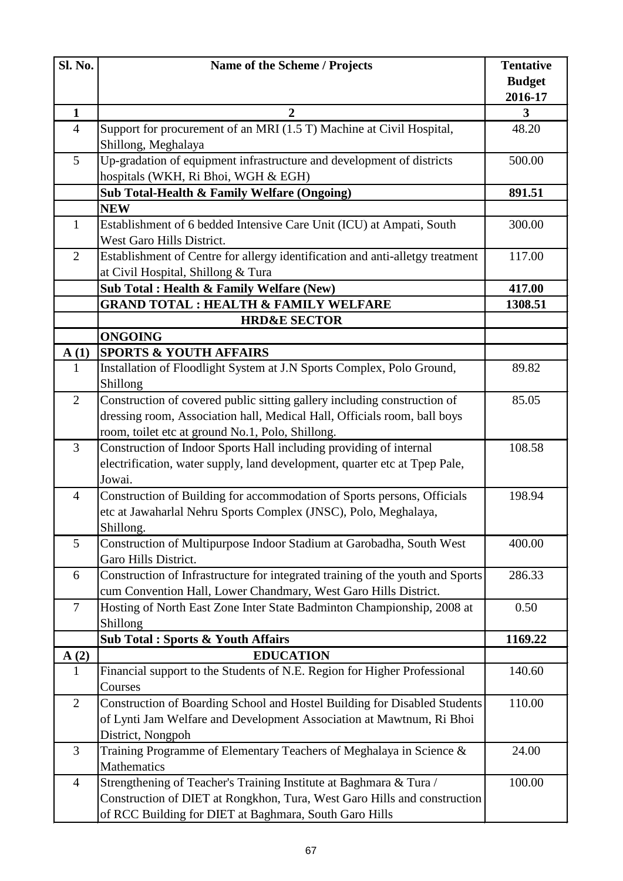| Sl. No.        | Name of the Scheme / Projects                                                                | <b>Tentative</b>        |
|----------------|----------------------------------------------------------------------------------------------|-------------------------|
|                |                                                                                              | <b>Budget</b>           |
| $\mathbf{1}$   | $\overline{2}$                                                                               | 2016-17<br>$\mathbf{3}$ |
| $\overline{4}$ | Support for procurement of an MRI (1.5 T) Machine at Civil Hospital,                         | 48.20                   |
|                | Shillong, Meghalaya                                                                          |                         |
| 5              | Up-gradation of equipment infrastructure and development of districts                        | 500.00                  |
|                | hospitals (WKH, Ri Bhoi, WGH & EGH)                                                          |                         |
|                | Sub Total-Health & Family Welfare (Ongoing)                                                  | 891.51                  |
|                | <b>NEW</b>                                                                                   |                         |
| $\mathbf{1}$   | Establishment of 6 bedded Intensive Care Unit (ICU) at Ampati, South                         | 300.00                  |
|                | West Garo Hills District.                                                                    |                         |
| $\overline{2}$ | Establishment of Centre for allergy identification and anti-alletgy treatment                | 117.00                  |
|                | at Civil Hospital, Shillong & Tura                                                           |                         |
|                | Sub Total: Health & Family Welfare (New)<br><b>GRAND TOTAL: HEALTH &amp; FAMILY WELFARE</b>  | 417.00<br>1308.51       |
|                | <b>HRD&amp;E SECTOR</b>                                                                      |                         |
|                | <b>ONGOING</b>                                                                               |                         |
| A(1)           | <b>SPORTS &amp; YOUTH AFFAIRS</b>                                                            |                         |
| $\mathbf{1}$   | Installation of Floodlight System at J.N Sports Complex, Polo Ground,                        | 89.82                   |
|                | Shillong                                                                                     |                         |
| $\overline{2}$ | Construction of covered public sitting gallery including construction of                     | 85.05                   |
|                | dressing room, Association hall, Medical Hall, Officials room, ball boys                     |                         |
|                | room, toilet etc at ground No.1, Polo, Shillong.                                             |                         |
| $\overline{3}$ | Construction of Indoor Sports Hall including providing of internal                           | 108.58                  |
|                | electrification, water supply, land development, quarter etc at Tpep Pale,                   |                         |
|                | Jowai.                                                                                       |                         |
| $\overline{4}$ | Construction of Building for accommodation of Sports persons, Officials                      | 198.94                  |
|                | etc at Jawaharlal Nehru Sports Complex (JNSC), Polo, Meghalaya,                              |                         |
|                | Shillong.                                                                                    |                         |
| 5              | Construction of Multipurpose Indoor Stadium at Garobadha, South West<br>Garo Hills District. | 400.00                  |
| 6              | Construction of Infrastructure for integrated training of the youth and Sports               | 286.33                  |
|                | cum Convention Hall, Lower Chandmary, West Garo Hills District.                              |                         |
| $\tau$         | Hosting of North East Zone Inter State Badminton Championship, 2008 at                       | 0.50                    |
|                | Shillong                                                                                     |                         |
|                | <b>Sub Total: Sports &amp; Youth Affairs</b>                                                 | 1169.22                 |
| A(2)           | <b>EDUCATION</b>                                                                             |                         |
| $\mathbf{1}$   | Financial support to the Students of N.E. Region for Higher Professional                     | 140.60                  |
|                | Courses                                                                                      |                         |
| $\overline{2}$ | Construction of Boarding School and Hostel Building for Disabled Students                    | 110.00                  |
|                | of Lynti Jam Welfare and Development Association at Mawtnum, Ri Bhoi                         |                         |
|                | District, Nongpoh                                                                            |                         |
| 3              | Training Programme of Elementary Teachers of Meghalaya in Science &                          | 24.00                   |
|                | <b>Mathematics</b>                                                                           |                         |
| $\overline{4}$ | Strengthening of Teacher's Training Institute at Baghmara & Tura /                           | 100.00                  |
|                | Construction of DIET at Rongkhon, Tura, West Garo Hills and construction                     |                         |
|                | of RCC Building for DIET at Baghmara, South Garo Hills                                       |                         |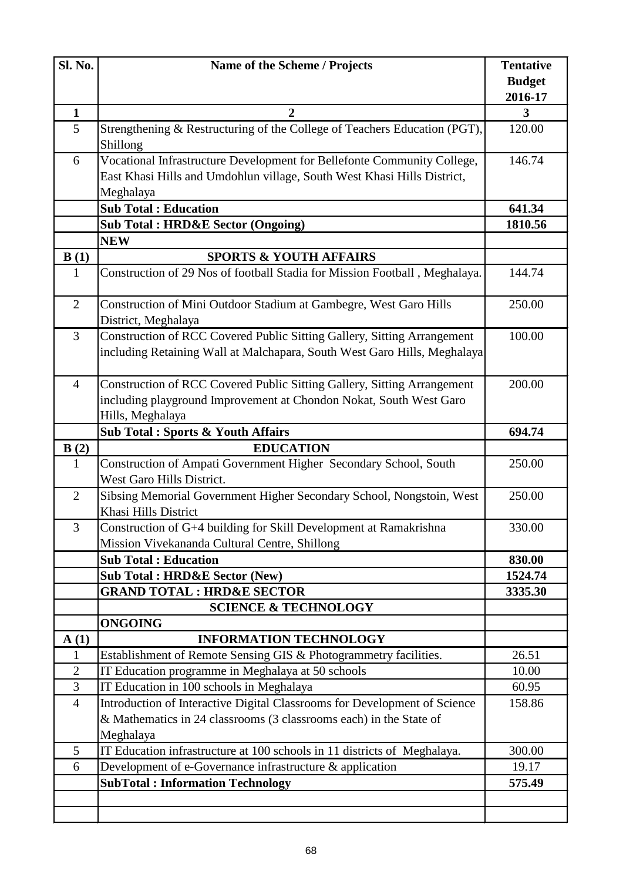| Sl. No.                         | Name of the Scheme / Projects                                                                                                                                     | <b>Tentative</b>         |
|---------------------------------|-------------------------------------------------------------------------------------------------------------------------------------------------------------------|--------------------------|
|                                 |                                                                                                                                                                   | <b>Budget</b><br>2016-17 |
| $\mathbf{1}$                    | $\overline{2}$                                                                                                                                                    | 3                        |
| 5                               | Strengthening & Restructuring of the College of Teachers Education (PGT),<br>Shillong                                                                             | 120.00                   |
| 6                               | Vocational Infrastructure Development for Bellefonte Community College,                                                                                           | 146.74                   |
|                                 | East Khasi Hills and Umdohlun village, South West Khasi Hills District,<br>Meghalaya                                                                              |                          |
|                                 | <b>Sub Total: Education</b>                                                                                                                                       | 641.34                   |
|                                 | <b>Sub Total: HRD&amp;E Sector (Ongoing)</b>                                                                                                                      | 1810.56                  |
|                                 | <b>NEW</b>                                                                                                                                                        |                          |
| B(1)                            | <b>SPORTS &amp; YOUTH AFFAIRS</b>                                                                                                                                 |                          |
| $\mathbf{1}$                    | Construction of 29 Nos of football Stadia for Mission Football, Meghalaya.                                                                                        | 144.74                   |
| $\overline{2}$                  | Construction of Mini Outdoor Stadium at Gambegre, West Garo Hills<br>District, Meghalaya                                                                          | 250.00                   |
| $\overline{3}$                  | Construction of RCC Covered Public Sitting Gallery, Sitting Arrangement<br>including Retaining Wall at Malchapara, South West Garo Hills, Meghalaya               | 100.00                   |
| $\overline{4}$                  | Construction of RCC Covered Public Sitting Gallery, Sitting Arrangement<br>including playground Improvement at Chondon Nokat, South West Garo<br>Hills, Meghalaya | 200.00                   |
|                                 | <b>Sub Total: Sports &amp; Youth Affairs</b>                                                                                                                      | 694.74                   |
| B(2)                            | <b>EDUCATION</b>                                                                                                                                                  |                          |
| $\mathbf{1}$                    | Construction of Ampati Government Higher Secondary School, South<br>West Garo Hills District.                                                                     | 250.00                   |
| $\overline{2}$                  | Sibsing Memorial Government Higher Secondary School, Nongstoin, West<br>Khasi Hills District                                                                      | 250.00                   |
| 3                               | Construction of G+4 building for Skill Development at Ramakrishna<br>Mission Vivekananda Cultural Centre, Shillong                                                | 330.00                   |
|                                 | <b>Sub Total: Education</b>                                                                                                                                       | 830.00                   |
|                                 | <b>Sub Total: HRD&amp;E Sector (New)</b>                                                                                                                          | 1524.74                  |
|                                 | <b>GRAND TOTAL : HRD&amp;E SECTOR</b>                                                                                                                             | 3335.30                  |
|                                 | <b>SCIENCE &amp; TECHNOLOGY</b>                                                                                                                                   |                          |
|                                 | <b>ONGOING</b>                                                                                                                                                    |                          |
| $\mathbf{A}(1)$<br>$\mathbf{1}$ | <b>INFORMATION TECHNOLOGY</b><br>Establishment of Remote Sensing GIS & Photogrammetry facilities.                                                                 | 26.51                    |
| $\overline{2}$                  | IT Education programme in Meghalaya at 50 schools                                                                                                                 | 10.00                    |
| 3                               | IT Education in 100 schools in Meghalaya                                                                                                                          | 60.95                    |
| $\overline{4}$                  | Introduction of Interactive Digital Classrooms for Development of Science                                                                                         | 158.86                   |
|                                 | & Mathematics in 24 classrooms (3 classrooms each) in the State of<br>Meghalaya                                                                                   |                          |
| 5                               | IT Education infrastructure at 100 schools in 11 districts of Meghalaya.                                                                                          | 300.00                   |
| 6                               | Development of e-Governance infrastructure & application                                                                                                          | 19.17                    |
|                                 | <b>SubTotal: Information Technology</b>                                                                                                                           | 575.49                   |
|                                 |                                                                                                                                                                   |                          |
|                                 |                                                                                                                                                                   |                          |